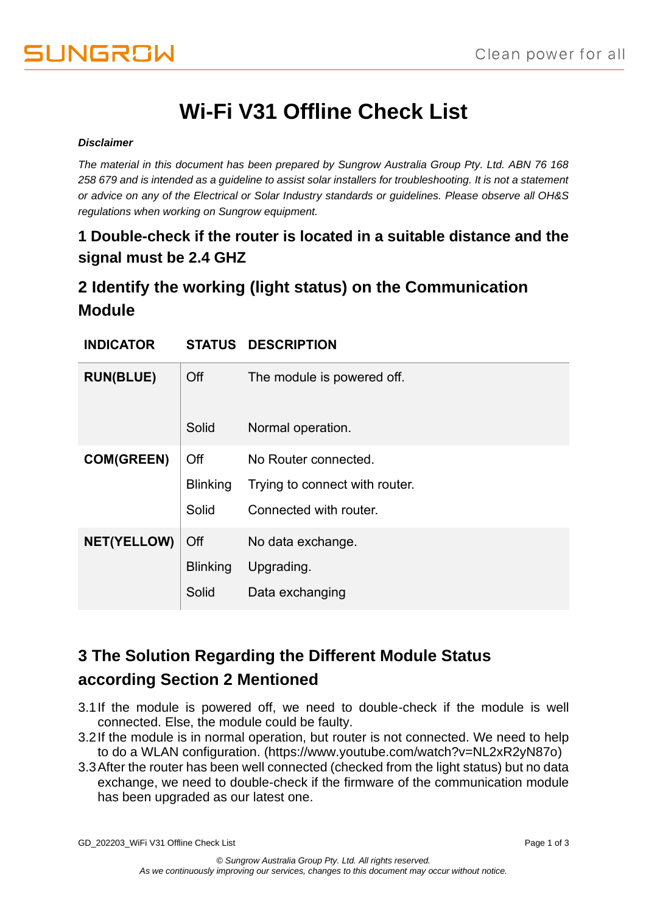# **Wi-Fi V31 Offline Check List**

#### *Disclaimer*

*The material in this document has been prepared by Sungrow Australia Group Pty. Ltd. ABN 76 168 258 679 and is intended as a guideline to assist solar installers for troubleshooting. It is not a statement or advice on any of the Electrical or Solar Industry standards or guidelines. Please observe all OH&S regulations when working on Sungrow equipment.*

### **1 Double-check if the router is located in a suitable distance and the signal must be 2.4 GHZ**

# **2 Identify the working (light status) on the Communication Module**

| <b>INDICATOR</b>   |                 | <b>STATUS DESCRIPTION</b>      |
|--------------------|-----------------|--------------------------------|
| <b>RUN(BLUE)</b>   | Off             | The module is powered off.     |
|                    | Solid           | Normal operation.              |
| <b>COM(GREEN)</b>  | Off             | No Router connected.           |
|                    | <b>Blinking</b> | Trying to connect with router. |
|                    | Solid           | Connected with router.         |
| <b>NET(YELLOW)</b> | Off             | No data exchange.              |
|                    | <b>Blinking</b> | Upgrading.                     |
|                    | Solid           | Data exchanging                |

# **3 The Solution Regarding the Different Module Status according Section 2 Mentioned**

- 3.1If the module is powered off, we need to double-check if the module is well connected. Else, the module could be faulty.
- 3.2If the module is in normal operation, but router is not connected. We need to help to do a WLAN configuration. (https://www.youtube.com/watch?v=NL2xR2yN87o)
- 3.3After the router has been well connected (checked from the light status) but no data exchange, we need to double-check if the firmware of the communication module has been upgraded as our latest one.

GD\_202203\_WiFi V31 Offline Check List example of 3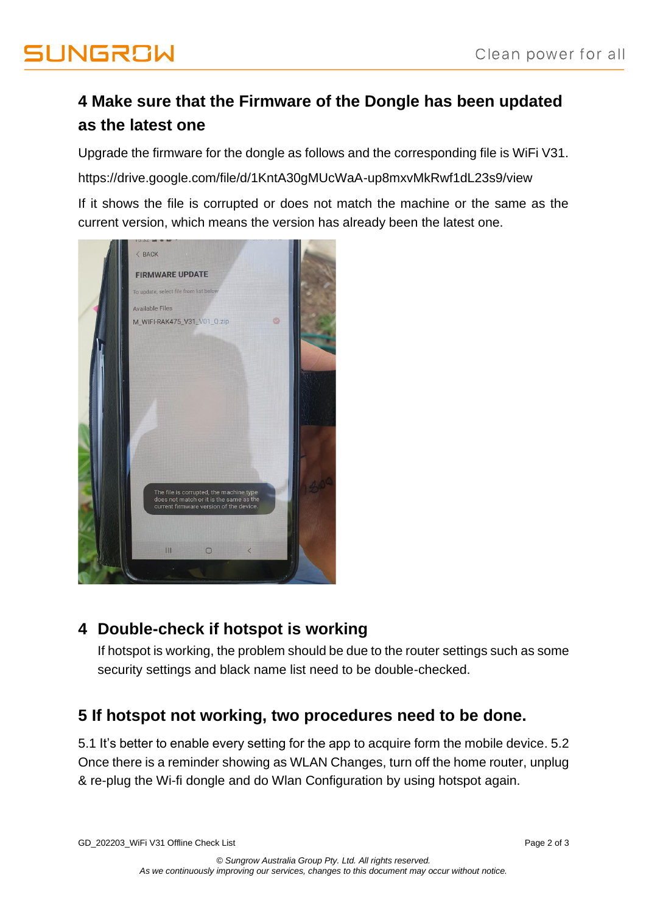# **4 Make sure that the Firmware of the Dongle has been updated as the latest one**

Upgrade the firmware for the dongle as follows and the corresponding file is WiFi V31.

https://drive.google.com/file/d/1KntA30gMUcWaA-up8mxvMkRwf1dL23s9/view

If it shows the file is corrupted or does not match the machine or the same as the current version, which means the version has already been the latest one.



# **4 Double-check if hotspot is working**

If hotspot is working, the problem should be due to the router settings such as some security settings and black name list need to be double-checked.

### **5 If hotspot not working, two procedures need to be done.**

5.1 It's better to enable every setting for the app to acquire form the mobile device. 5.2 Once there is a reminder showing as WLAN Changes, turn off the home router, unplug & re-plug the Wi-fi dongle and do Wlan Configuration by using hotspot again.